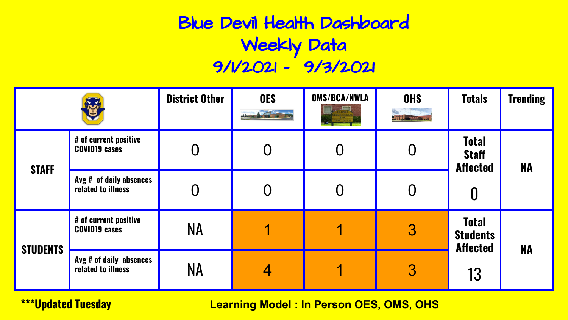# Blue Devil Health Dashboard Weekly Data 9/1/2021 - 9/3/2021

|                 |                                               | <b>District Other</b> | <b>OES</b><br><b>Annual report</b> | <b>OMS/BCA/NWLA</b> | <b>OHS</b><br><b>ATTIC HOMES DEL 30.</b> | <b>Totals</b>                                      | <b>Trending</b> |
|-----------------|-----------------------------------------------|-----------------------|------------------------------------|---------------------|------------------------------------------|----------------------------------------------------|-----------------|
| <b>STAFF</b>    | # of current positive<br><b>COVID19 cases</b> |                       |                                    |                     |                                          | <b>Total</b><br><b>Staff</b><br><b>Affected</b>    | <b>NA</b>       |
|                 | Avg # of daily absences<br>related to illness |                       |                                    |                     |                                          | 0                                                  |                 |
|                 | # of current positive<br><b>COVID19 cases</b> | NA                    |                                    |                     | 3                                        | <b>Total</b><br><b>Students</b><br><b>Affected</b> | <b>NA</b>       |
| <b>STUDENTS</b> | Avg # of daily absences<br>related to illness | NA                    | 4                                  |                     | 3                                        | 13                                                 |                 |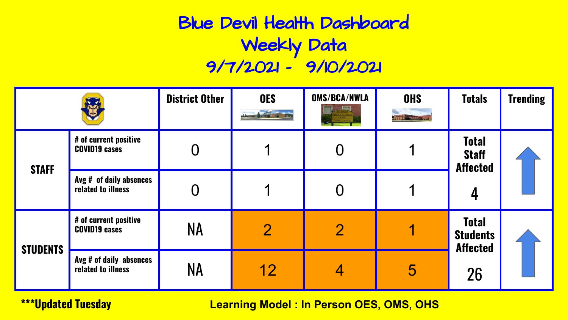# Blue Devil Health Dashboard Weekly Data 9/7/2021 - 9/10/2021

|                 |                                               | <b>District Other</b> | <b>OES</b><br><b>CARTING PROPERTY</b> | <b>OMS/BCA/NWLA</b> | <b>OHS</b><br><b>All Francisco m. Ja.</b> | <b>Totals</b>                                      | <b>Trending</b> |
|-----------------|-----------------------------------------------|-----------------------|---------------------------------------|---------------------|-------------------------------------------|----------------------------------------------------|-----------------|
| <b>STAFF</b>    | # of current positive<br><b>COVID19 cases</b> |                       |                                       |                     |                                           | <b>Total</b><br><b>Staff</b><br><b>Affected</b>    |                 |
|                 | Avg # of daily absences<br>related to illness |                       |                                       |                     |                                           | 4                                                  |                 |
| <b>STUDENTS</b> | # of current positive<br><b>COVID19 cases</b> | NA                    | $\overline{2}$                        | $\overline{2}$      |                                           | <b>Total</b><br><b>Students</b><br><b>Affected</b> |                 |
|                 | Avg # of daily absences<br>related to illness | NA                    | 12                                    |                     | 5                                         | 26                                                 |                 |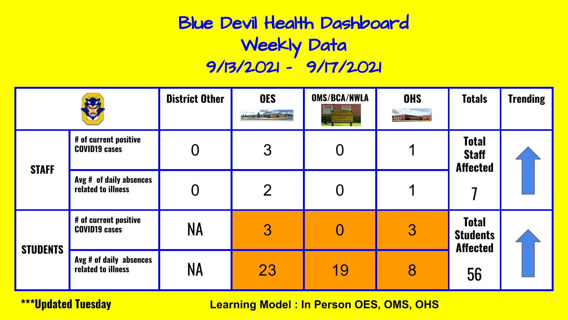# Blue Devil Health Dashboard Weekly Data 9/13/2021 - 9/17/2021

|                 |                                               | <b>District Other</b> | <b>OES</b><br><b>CONTRACTOR</b> | <b>OMS/BCA/NWLA</b> | <b>OHS</b><br><b>LITTLE AND AGENT AND</b> | <b>Totals</b>                                      | <b>Trending</b> |
|-----------------|-----------------------------------------------|-----------------------|---------------------------------|---------------------|-------------------------------------------|----------------------------------------------------|-----------------|
| <b>STAFF</b>    | # of current positive<br><b>COVID19 cases</b> |                       | 3                               |                     |                                           | <b>Total</b><br><b>Staff</b><br><b>Affected</b>    |                 |
|                 | Avg # of daily absences<br>related to illness |                       | $\overline{2}$                  |                     |                                           |                                                    |                 |
| <b>STUDENTS</b> | # of current positive<br><b>COVID19 cases</b> | NA                    | 3                               |                     | 3                                         | <b>Total</b><br><b>Students</b><br><b>Affected</b> |                 |
|                 | Avg # of daily absences<br>related to illness | NA                    | 23                              | 19                  | 8                                         | 56                                                 |                 |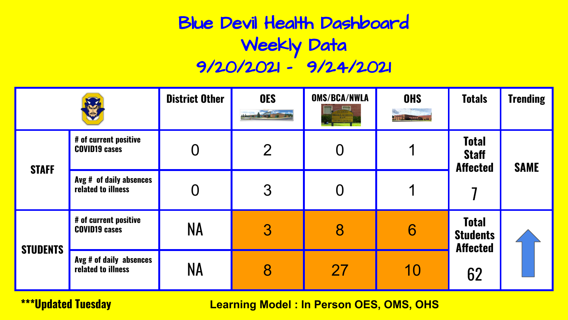# Blue Devil Health Dashboard Weekly Data 9/20/2021 - 9/24/2021

|                 |                                               | <b>District Other</b> | <b>OES</b><br><b>COUNTY OF A</b> | <b>OMS/BCA/NWLA</b> | <b>OHS</b><br><b>Little marches av</b> | <b>Totals</b>                                      | <b>Trending</b> |
|-----------------|-----------------------------------------------|-----------------------|----------------------------------|---------------------|----------------------------------------|----------------------------------------------------|-----------------|
| <b>STAFF</b>    | # of current positive<br><b>COVID19 cases</b> |                       | $\overline{2}$                   |                     |                                        | <b>Total</b><br><b>Staff</b><br><b>Affected</b>    | <b>SAME</b>     |
|                 | Avg # of daily absences<br>related to illness |                       | 3                                |                     |                                        |                                                    |                 |
| <b>STUDENTS</b> | # of current positive<br><b>COVID19 cases</b> | <b>NA</b>             | 3                                | 8                   | 6                                      | <b>Total</b><br><b>Students</b><br><b>Affected</b> |                 |
|                 | Avg # of daily absences<br>related to illness | <b>NA</b>             | 8                                | 27                  | 10                                     | 62                                                 |                 |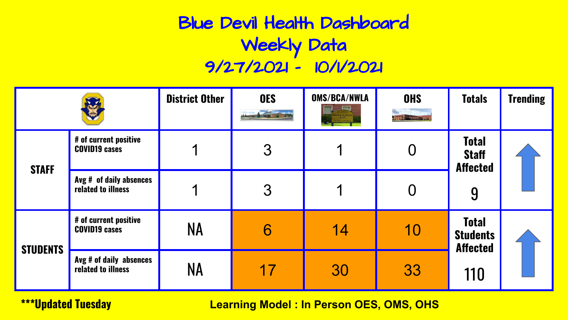# Blue Devil Health Dashboard Weekly Data 9/27/2021 - 10/1/2021

|                 |                                               | <b>District Other</b> | <b>OES</b><br><b>Anima</b> re | <b>OMS/BCA/NWLA</b> | <b>OHS</b><br><b>Little and Commun</b> | <b>Totals</b>                                      | <b>Trending</b> |
|-----------------|-----------------------------------------------|-----------------------|-------------------------------|---------------------|----------------------------------------|----------------------------------------------------|-----------------|
| <b>STAFF</b>    | # of current positive<br><b>COVID19 cases</b> | ◀                     | 3                             |                     |                                        | <b>Total</b><br><b>Staff</b><br><b>Affected</b>    |                 |
|                 | Avg # of daily absences<br>related to illness |                       | 3                             |                     |                                        | 9                                                  |                 |
| <b>STUDENTS</b> | # of current positive<br><b>COVID19 cases</b> | NA                    | 6                             | 14                  | 10                                     | <b>Total</b><br><b>Students</b><br><b>Affected</b> |                 |
|                 | Avg # of daily absences<br>related to illness | <b>NA</b>             | 17                            | 30                  | 33                                     | 110                                                |                 |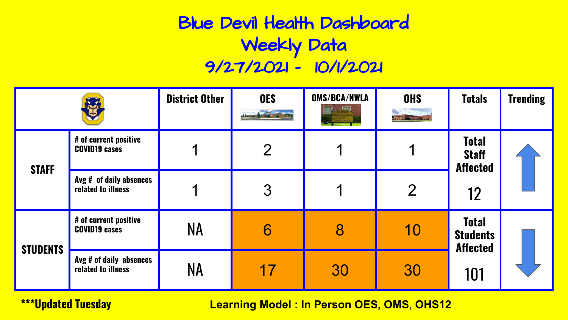# Blue Devil Health Dashboard Weekly Data 9/27/2021 - 10/1/2021

|                 |                                               | <b>District Other</b> | <b>OES</b><br><b>Anima</b> re | <b>OMS/BCA/NWLA</b> | <b>OHS</b><br><b>Little marketing and</b> | <b>Totals</b>                                      | <b>Trending</b> |
|-----------------|-----------------------------------------------|-----------------------|-------------------------------|---------------------|-------------------------------------------|----------------------------------------------------|-----------------|
| <b>STAFF</b>    | # of current positive<br><b>COVID19 cases</b> |                       | $\overline{2}$                |                     |                                           | <b>Total</b><br><b>Staff</b><br><b>Affected</b>    |                 |
|                 | Avg # of daily absences<br>related to illness |                       | 3                             |                     | $\overline{2}$                            | 12                                                 |                 |
| <b>STUDENTS</b> | # of current positive<br><b>COVID19 cases</b> | NA                    | 6                             | 8                   | 10                                        | <b>Total</b><br><b>Students</b><br><b>Affected</b> |                 |
|                 | Avg # of daily absences<br>related to illness | NA                    | 17                            | 30                  | 30                                        | 101                                                |                 |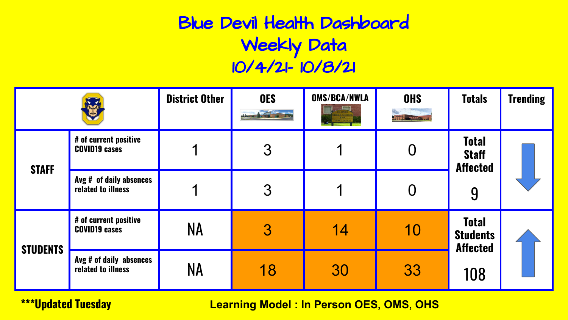# Blue Devil Health Dashboard Weekly Data 10/4/21- 10/8/21

|                 |                                               | <b>District Other</b> | <b>OES</b><br><b>ATTING OF</b> | <b>OMS/BCA/NWLA</b> | <b>OHS</b><br><b>ATT CONTRACTOR</b> | <b>Totals</b>                                        | <b>Trending</b> |
|-----------------|-----------------------------------------------|-----------------------|--------------------------------|---------------------|-------------------------------------|------------------------------------------------------|-----------------|
| <b>STAFF</b>    | # of current positive<br><b>COVID19 cases</b> | ◀                     | 3                              |                     | O                                   | <b>Total</b><br><b>Staff</b><br><b>Affected</b><br>9 |                 |
|                 | Avg # of daily absences<br>related to illness |                       | 3                              |                     |                                     |                                                      |                 |
| <b>STUDENTS</b> | # of current positive<br><b>COVID19 cases</b> | NA                    | 3                              | 14                  | 10                                  | <b>Total</b><br><b>Students</b><br><b>Affected</b>   |                 |
|                 | Avg # of daily absences<br>related to illness | NA                    | 18                             | 30                  | 33                                  | 108                                                  |                 |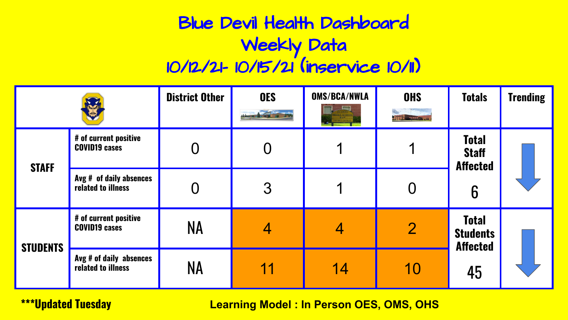# Blue Devil Health Dashboard Weekly Data 10/12/21- 10/15/21 (inservice 10/11)

|                 |                                               | <b>District Other</b> | <b>OES</b> | <b>OMS/BCA/NWLA</b><br><b>END</b><br>RICT OFFICES | <b>OHS</b><br><b>Little and Clinical</b> | <b>Totals</b>                                        | <b>Trending</b> |
|-----------------|-----------------------------------------------|-----------------------|------------|---------------------------------------------------|------------------------------------------|------------------------------------------------------|-----------------|
| <b>STAFF</b>    | # of current positive<br><b>COVID19 cases</b> |                       |            |                                                   |                                          | <b>Total</b><br><b>Staff</b><br><b>Affected</b><br>6 |                 |
|                 | Avg # of daily absences<br>related to illness |                       | 3          |                                                   |                                          |                                                      |                 |
| <b>STUDENTS</b> | # of current positive<br><b>COVID19 cases</b> | <b>NA</b>             | 4          | 4                                                 | $\overline{2}$                           | <b>Total</b><br><b>Students</b><br><b>Affected</b>   |                 |
|                 | Avg # of daily absences<br>related to illness | <b>NA</b>             | 11         | 14                                                | 10                                       | 45                                                   |                 |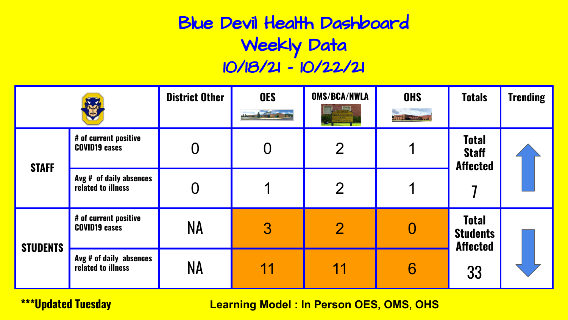# Blue Devil Health Dashboard Weekly Data 10/18/21 - 10/22/21

|                 |                                               | <b>District Other</b> | <b>OES</b> | <b>OMS/BCA/NWLA</b><br><b>ICT OFFICES</b> | <b>OHS</b><br><b>ATTIC HOMES DEL 30.</b> | <b>Totals</b>                                      | <b>Trending</b> |
|-----------------|-----------------------------------------------|-----------------------|------------|-------------------------------------------|------------------------------------------|----------------------------------------------------|-----------------|
| <b>STAFF</b>    | # of current positive<br><b>COVID19 cases</b> |                       |            | $\overline{2}$                            |                                          | <b>Total</b><br><b>Staff</b><br><b>Affected</b>    |                 |
|                 | Avg # of daily absences<br>related to illness |                       |            | $\overline{2}$                            |                                          |                                                    |                 |
| <b>STUDENTS</b> | # of current positive<br><b>COVID19 cases</b> | NA                    | 3          | $\overline{2}$                            |                                          | <b>Total</b><br><b>Students</b><br><b>Affected</b> |                 |
|                 | Avg # of daily absences<br>related to illness | NA                    | 11         | 11                                        | 6                                        | 33                                                 |                 |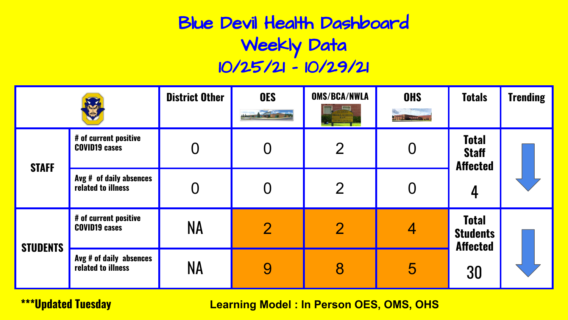# Blue Devil Health Dashboard Weekly Data 10/25/21 - 10/29/21

|                 |                                               | <b>District Other</b> | <b>OES</b>     | <b>OMS/BCA/NWLA</b> | <b>OHS</b><br><b>All The Hospitaline</b> Cap | <b>Totals</b>                                      | <b>Trending</b> |
|-----------------|-----------------------------------------------|-----------------------|----------------|---------------------|----------------------------------------------|----------------------------------------------------|-----------------|
| <b>STAFF</b>    | # of current positive<br><b>COVID19 cases</b> |                       |                | $\overline{2}$      |                                              | <b>Total</b><br><b>Staff</b><br><b>Affected</b>    |                 |
|                 | Avg # of daily absences<br>related to illness |                       |                | $\overline{2}$      |                                              | 4                                                  |                 |
| <b>STUDENTS</b> | # of current positive<br><b>COVID19 cases</b> | <b>NA</b>             | $\overline{2}$ | $\overline{2}$      | 4                                            | <b>Total</b><br><b>Students</b><br><b>Affected</b> |                 |
|                 | Avg # of daily absences<br>related to illness | <b>NA</b>             | 9              | 8                   | 5                                            | 30                                                 |                 |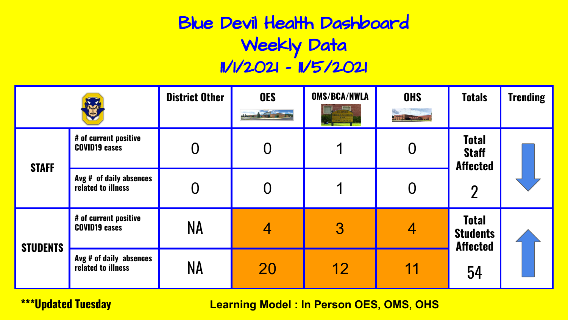# Blue Devil Health Dashboard Weekly Data 11/1/2021 - 11/5/2021

|                 |                                               | <b>District Other</b> | <b>OES</b> | <b>OMS/BCA/NWLA</b> | <b>OHS</b><br><b>All the Secretary An</b> | <b>Totals</b>                                      | <b>Trending</b> |
|-----------------|-----------------------------------------------|-----------------------|------------|---------------------|-------------------------------------------|----------------------------------------------------|-----------------|
| <b>STAFF</b>    | # of current positive<br><b>COVID19 cases</b> |                       |            |                     |                                           | <b>Total</b><br><b>Staff</b><br><b>Affected</b>    |                 |
|                 | Avg # of daily absences<br>related to illness |                       |            |                     |                                           | $\overline{2}$                                     |                 |
| <b>STUDENTS</b> | # of current positive<br><b>COVID19 cases</b> | <b>NA</b>             | 4          | 3                   | 4                                         | <b>Total</b><br><b>Students</b><br><b>Affected</b> |                 |
|                 | Avg # of daily absences<br>related to illness | <b>NA</b>             | 20         | 12                  | 11                                        | 54                                                 |                 |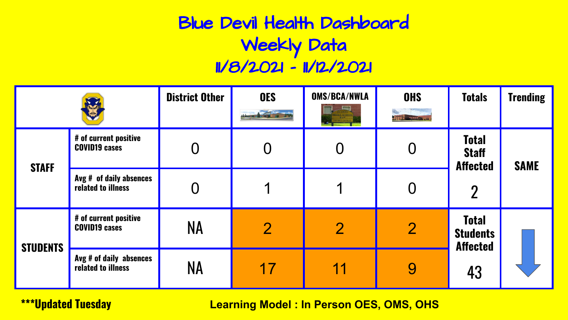# Blue Devil Health Dashboard Weekly Data 11/8/2021 - 11/12/2021

|                 |                                               | <b>District Other</b> | <b>OES</b>     | <b>OMS/BCA/NWLA</b> | <b>OHS</b><br><b>All The Company of the City</b> | <b>Totals</b>                                      | <b>Trending</b> |
|-----------------|-----------------------------------------------|-----------------------|----------------|---------------------|--------------------------------------------------|----------------------------------------------------|-----------------|
| <b>STAFF</b>    | # of current positive<br><b>COVID19 cases</b> |                       |                |                     |                                                  | <b>Total</b><br><b>Staff</b><br><b>Affected</b>    | <b>SAME</b>     |
|                 | Avg # of daily absences<br>related to illness |                       |                |                     |                                                  | $\overline{2}$                                     |                 |
| <b>STUDENTS</b> | # of current positive<br><b>COVID19 cases</b> | <b>NA</b>             | $\overline{2}$ | $\overline{2}$      | $\overline{2}$                                   | <b>Total</b><br><b>Students</b><br><b>Affected</b> |                 |
|                 | Avg # of daily absences<br>related to illness | NΑ                    | 17             | 11                  | 9                                                | 43                                                 |                 |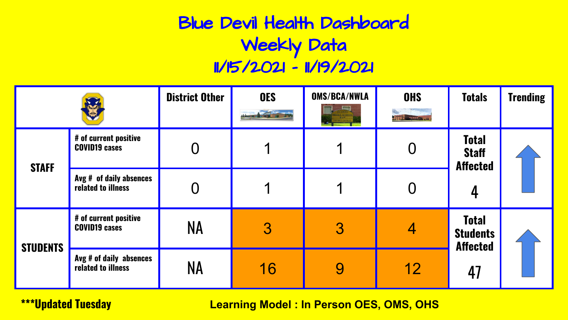# Blue Devil Health Dashboard Weekly Data 11/15/2021 - 11/19/2021

|                 |                                               | <b>District Other</b> | <b>OES</b> | <b>OMS/BCA/NWLA</b> | <b>OHS</b><br><b>All The Hospitaline</b> Cap | <b>Totals</b>                                      | <b>Trending</b> |
|-----------------|-----------------------------------------------|-----------------------|------------|---------------------|----------------------------------------------|----------------------------------------------------|-----------------|
| <b>STAFF</b>    | # of current positive<br><b>COVID19 cases</b> |                       |            |                     |                                              | <b>Total</b><br><b>Staff</b><br><b>Affected</b>    |                 |
|                 | Avg # of daily absences<br>related to illness |                       |            |                     |                                              |                                                    |                 |
| <b>STUDENTS</b> | # of current positive<br><b>COVID19 cases</b> | <b>NA</b>             | 3          | 3                   | 4                                            | <b>Total</b><br><b>Students</b><br><b>Affected</b> |                 |
|                 | Avg # of daily absences<br>related to illness | <b>NA</b>             | 16         | 9                   | 12                                           | 47                                                 |                 |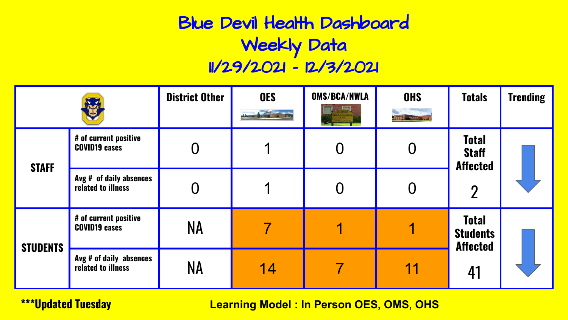# Blue Devil Health Dashboard Weekly Data 11/29/2021 - 12/3/2021

|                 |                                               | <b>District Other</b> | <b>OES</b> | <b>OMS/BCA/NWLA</b> | <b>OHS</b><br><b>ATTE - FIRSTER SH</b> | <b>Totals</b>                                      | <b>Trending</b> |
|-----------------|-----------------------------------------------|-----------------------|------------|---------------------|----------------------------------------|----------------------------------------------------|-----------------|
| <b>STAFF</b>    | # of current positive<br><b>COVID19 cases</b> |                       |            |                     |                                        | <b>Total</b><br><b>Staff</b><br><b>Affected</b>    |                 |
|                 | Avg # of daily absences<br>related to illness |                       |            |                     |                                        | $\overline{2}$                                     |                 |
| <b>STUDENTS</b> | # of current positive<br><b>COVID19 cases</b> | <b>NA</b>             |            |                     |                                        | <b>Total</b><br><b>Students</b><br><b>Affected</b> |                 |
|                 | Avg # of daily absences<br>related to illness | <b>NA</b>             | 14         |                     | 11                                     | 41                                                 |                 |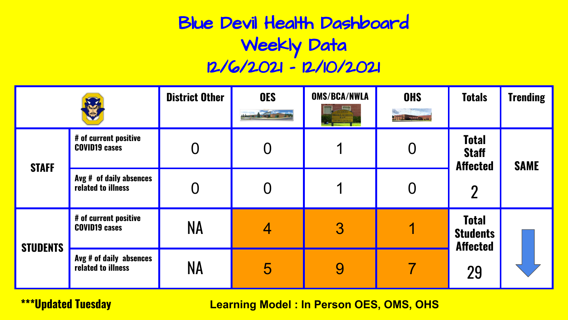# Blue Devil Health Dashboard Weekly Data 12/6/2021 - 12/10/2021

|                 |                                               | <b>District Other</b> | <b>OES</b><br><b>County of</b> | <b>OMS/BCA/NWLA</b><br><b>BCT OFFICES</b> | <b>OHS</b><br><b>Art E. Anglick Inc., Inc.</b> | <b>Totals</b>                                      | <b>Trending</b> |
|-----------------|-----------------------------------------------|-----------------------|--------------------------------|-------------------------------------------|------------------------------------------------|----------------------------------------------------|-----------------|
| <b>STAFF</b>    | # of current positive<br><b>COVID19 cases</b> |                       |                                |                                           |                                                | <b>Total</b><br><b>Staff</b><br><b>Affected</b>    | <b>SAME</b>     |
|                 | Avg # of daily absences<br>related to illness |                       |                                |                                           |                                                | $\overline{2}$                                     |                 |
| <b>STUDENTS</b> | # of current positive<br><b>COVID19 cases</b> | NA                    | 4                              | 3                                         |                                                | <b>Total</b><br><b>Students</b><br><b>Affected</b> |                 |
|                 | Avg # of daily absences<br>related to illness | NA                    | 5                              | 9                                         |                                                | 29                                                 |                 |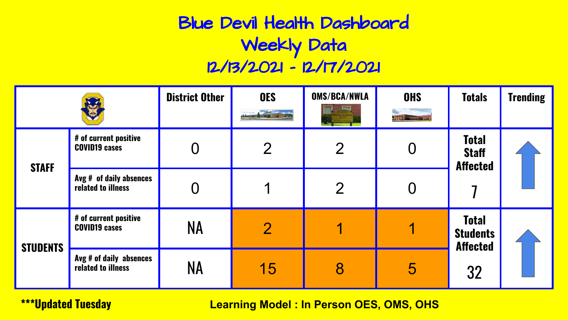# Blue Devil Health Dashboard Weekly Data 12/13/2021 - 12/17/2021

|                 |                                               | <b>District Other</b> | <b>OES</b>     | <b>OMS/BCA/NWLA</b><br>CT OFFICES | <b>OHS</b><br><b>ATT E-martin Au</b> | <b>Totals</b>                                      | <b>Trending</b> |
|-----------------|-----------------------------------------------|-----------------------|----------------|-----------------------------------|--------------------------------------|----------------------------------------------------|-----------------|
| <b>STAFF</b>    | # of current positive<br><b>COVID19 cases</b> |                       | $\overline{2}$ | $\overline{2}$                    |                                      | <b>Total</b><br><b>Staff</b><br><b>Affected</b>    |                 |
|                 | Avg # of daily absences<br>related to illness |                       |                | $\overline{2}$                    |                                      |                                                    |                 |
| <b>STUDENTS</b> | # of current positive<br><b>COVID19 cases</b> | <b>NA</b>             | $\overline{2}$ |                                   |                                      | <b>Total</b><br><b>Students</b><br><b>Affected</b> |                 |
|                 | Avg # of daily absences<br>related to illness | <b>NA</b>             | 15             | 8                                 | 5                                    | 32                                                 |                 |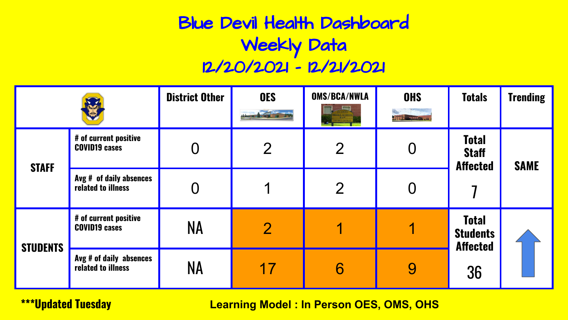# Blue Devil Health Dashboard Weekly Data 12/20/2021 - 12/21/2021

|                 |                                               | <b>District Other</b> | <b>OES</b>     | <b>OMS/BCA/NWLA</b><br>CT OFFICES | <b>OHS</b><br><b>ATT E-marketing</b> | <b>Totals</b>                                      | <b>Trending</b> |
|-----------------|-----------------------------------------------|-----------------------|----------------|-----------------------------------|--------------------------------------|----------------------------------------------------|-----------------|
| <b>STAFF</b>    | # of current positive<br><b>COVID19 cases</b> |                       | $\overline{2}$ | $\overline{2}$                    |                                      | <b>Total</b><br><b>Staff</b><br><b>Affected</b>    | <b>SAME</b>     |
|                 | Avg # of daily absences<br>related to illness |                       |                | $\overline{2}$                    |                                      |                                                    |                 |
| <b>STUDENTS</b> | # of current positive<br><b>COVID19 cases</b> | <b>NA</b>             | $\overline{2}$ |                                   |                                      | <b>Total</b><br><b>Students</b><br><b>Affected</b> |                 |
|                 | Avg # of daily absences<br>related to illness | <b>NA</b>             | 17             | 6                                 | 9                                    | 36                                                 |                 |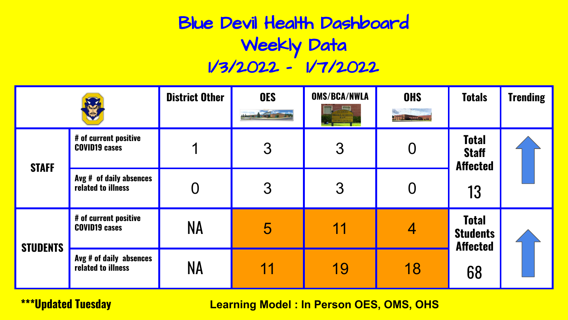# Blue Devil Health Dashboard Weekly Data 1/3/2022 - 1/7/2022

|                 |                                               | <b>District Other</b> | <b>OES</b> | <b>OMS/BCA/NWLA</b> | <b>OHS</b><br><b>All The Manager City</b> | <b>Totals</b>                                      | <b>Trending</b> |
|-----------------|-----------------------------------------------|-----------------------|------------|---------------------|-------------------------------------------|----------------------------------------------------|-----------------|
| <b>STAFF</b>    | # of current positive<br><b>COVID19 cases</b> | 1                     | 3          | $\mathcal{S}$       |                                           | <b>Total</b><br><b>Staff</b><br><b>Affected</b>    |                 |
|                 | Avg # of daily absences<br>related to illness |                       | 3          | 3                   |                                           | 13                                                 |                 |
| <b>STUDENTS</b> | # of current positive<br><b>COVID19 cases</b> | <b>NA</b>             | 5          | 11                  | 4                                         | <b>Total</b><br><b>Students</b><br><b>Affected</b> |                 |
|                 | Avg # of daily absences<br>related to illness | <b>NA</b>             | 11         | 19                  | 18                                        | 68                                                 |                 |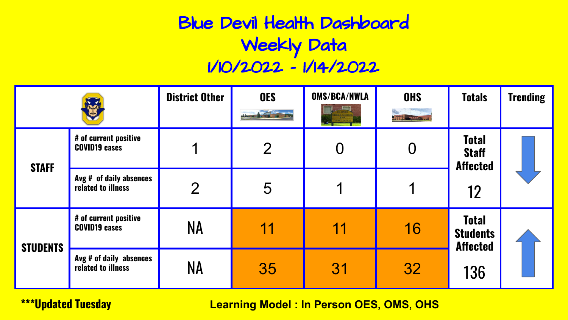# Blue Devil Health Dashboard Weekly Data 1/10/2022 - 1/14/2022

|                 |                                               | <b>District Other</b> | <b>OES</b>      | <b>OMS/BCA/NWLA</b> | <b>OHS</b><br><b>All The Company of Line</b> | <b>Totals</b>                                         | <b>Trending</b> |
|-----------------|-----------------------------------------------|-----------------------|-----------------|---------------------|----------------------------------------------|-------------------------------------------------------|-----------------|
| <b>STAFF</b>    | # of current positive<br><b>COVID19 cases</b> | ◀                     | $\overline{2}$  |                     |                                              | <b>Total</b><br><b>Staff</b><br><b>Affected</b><br>12 |                 |
|                 | Avg # of daily absences<br>related to illness | $\overline{2}$        | $5\overline{)}$ |                     |                                              |                                                       |                 |
| <b>STUDENTS</b> | # of current positive<br><b>COVID19 cases</b> | <b>NA</b>             | 11              | 11                  | 16                                           | <b>Total</b><br><b>Students</b><br><b>Affected</b>    |                 |
|                 | Avg # of daily absences<br>related to illness | <b>NA</b>             | 35              | 31                  | 32                                           | 136                                                   |                 |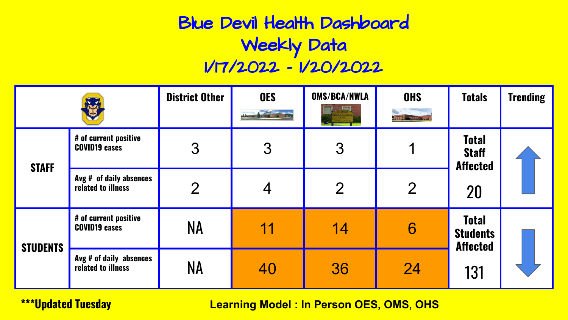# Blue Devil Health Dashboard Weekly Data 1/17/2022 - 1/20/2022

|                 |                                               | <b>District Other</b> | <b>OES</b> | <b>OMS/BCA/NWLA</b> | <b>OHS</b><br><b>All'industrialments</b> | <b>Totals</b>                                      | <b>Trending</b> |
|-----------------|-----------------------------------------------|-----------------------|------------|---------------------|------------------------------------------|----------------------------------------------------|-----------------|
| <b>STAFF</b>    | # of current positive<br><b>COVID19 cases</b> | 3                     | 3          | 3                   |                                          | <b>Total</b><br><b>Staff</b><br><b>Affected</b>    |                 |
|                 | Avg # of daily absences<br>related to illness | $\overline{2}$        |            | $\overline{2}$      | $\overline{2}$                           | 20                                                 |                 |
| <b>STUDENTS</b> | # of current positive<br><b>COVID19 cases</b> | <b>NA</b>             | 11         | 14                  | 6                                        | <b>Total</b><br><b>Students</b><br><b>Affected</b> |                 |
|                 | Avg # of daily absences<br>related to illness | <b>NA</b>             | 40         | 36                  | 24                                       | 131                                                |                 |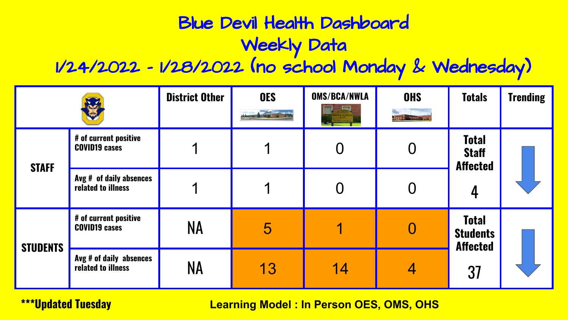# Blue Devil Health Dashboard Weekly Data

#### 1/24/2022 - 1/28/2022 (no school Monday & Wednesday)

|                 |                                               | <b>District Other</b> | <b>OES</b><br><b>County of</b> | <b>OMS/BCA/NWLA</b><br><b>SHIP</b><br>IRICT CHERES | <b>OHS</b><br><b>ATT E-MANAGEMENT</b> | <b>Totals</b>                                      | <b>Trending</b> |
|-----------------|-----------------------------------------------|-----------------------|--------------------------------|----------------------------------------------------|---------------------------------------|----------------------------------------------------|-----------------|
| <b>STAFF</b>    | # of current positive<br><b>COVID19 cases</b> |                       |                                |                                                    |                                       | <b>Total</b><br><b>Staff</b><br><b>Affected</b>    |                 |
|                 | Avg # of daily absences<br>related to illness |                       |                                |                                                    |                                       | 4                                                  |                 |
| <b>STUDENTS</b> | # of current positive<br><b>COVID19 cases</b> | NA                    | $\overline{5}$                 |                                                    |                                       | <b>Total</b><br><b>Students</b><br><b>Affected</b> |                 |
|                 | Avg # of daily absences<br>related to illness | NA                    | 13                             | 14                                                 | 4                                     | 37                                                 |                 |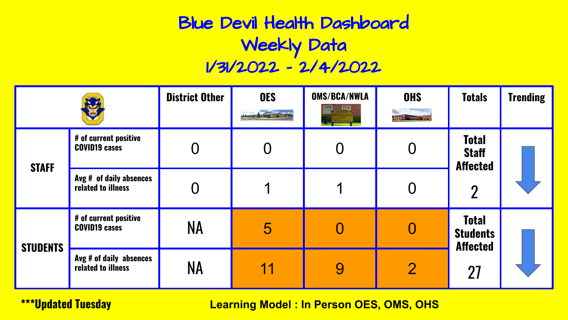# Blue Devil Health Dashboard Weekly Data 1/31/2022 - 2/4/2022

|                 |                                               | <b>District Other</b> | <b>OES</b> | <b>OMS/BCA/NWLA</b><br><b>ICT OFFICES</b> | <b>OHS</b><br><b>A. F. F. H. H. WALDER LINE</b> | <b>Totals</b>                                      | <b>Trending</b> |
|-----------------|-----------------------------------------------|-----------------------|------------|-------------------------------------------|-------------------------------------------------|----------------------------------------------------|-----------------|
| <b>STAFF</b>    | # of current positive<br><b>COVID19 cases</b> |                       |            |                                           |                                                 | <b>Total</b><br><b>Staff</b><br><b>Affected</b>    |                 |
|                 | Avg # of daily absences<br>related to illness |                       |            |                                           |                                                 | $\overline{2}$                                     |                 |
| <b>STUDENTS</b> | # of current positive<br><b>COVID19 cases</b> | NA                    | 5          |                                           |                                                 | <b>Total</b><br><b>Students</b><br><b>Affected</b> |                 |
|                 | Avg # of daily absences<br>related to illness | <b>NA</b>             | 11         | 9                                         | $\overline{2}$                                  | 27                                                 |                 |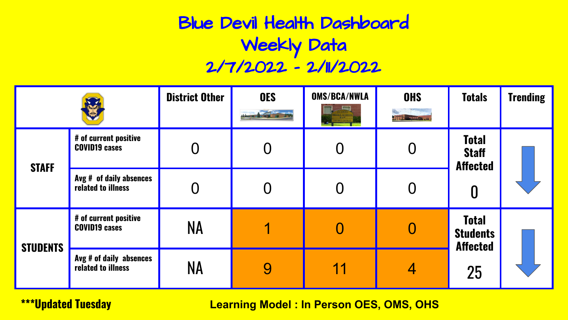# Blue Devil Health Dashboard Weekly Data 2/7/2022 - 2/11/2022

|                 |                                               | <b>District Other</b> | <b>OES</b> | <b>OMS/BCA/NWLA</b><br><b>ICT DIFICES</b> | <b>OHS</b><br><b>All Francisco Inc. Jul</b> | <b>Totals</b>                                        | <b>Trending</b> |
|-----------------|-----------------------------------------------|-----------------------|------------|-------------------------------------------|---------------------------------------------|------------------------------------------------------|-----------------|
| <b>STAFF</b>    | # of current positive<br><b>COVID19 cases</b> |                       |            |                                           |                                             | <b>Total</b><br><b>Staff</b><br><b>Affected</b><br>0 |                 |
|                 | Avg # of daily absences<br>related to illness |                       |            |                                           |                                             |                                                      |                 |
| <b>STUDENTS</b> | # of current positive<br><b>COVID19 cases</b> | <b>NA</b>             |            |                                           |                                             | <b>Total</b><br><b>Students</b><br><b>Affected</b>   |                 |
|                 | Avg # of daily absences<br>related to illness | <b>NA</b>             | 9          | 11                                        | 4                                           | 25                                                   |                 |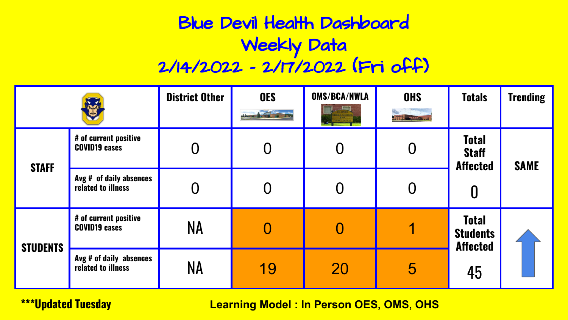# Blue Devil Health Dashboard Weekly Data 2/14/2022 - 2/17/2022 (Fri off)

|                 |                                               | <b>District Other</b> | <b>OES</b> | <b>OMS/BCA/NWLA</b><br><b>RICT OFFICES</b> | <b>OHS</b><br><b>A.T.T. E. Hangaran Change</b> | <b>Totals</b>                                      | <b>Trending</b> |
|-----------------|-----------------------------------------------|-----------------------|------------|--------------------------------------------|------------------------------------------------|----------------------------------------------------|-----------------|
| <b>STAFF</b>    | # of current positive<br><b>COVID19 cases</b> |                       |            |                                            |                                                | <b>Total</b><br><b>Staff</b><br><b>Affected</b>    | <b>SAME</b>     |
|                 | Avg # of daily absences<br>related to illness |                       |            |                                            |                                                | 0                                                  |                 |
| <b>STUDENTS</b> | # of current positive<br><b>COVID19 cases</b> | ΝA                    |            |                                            |                                                | <b>Total</b><br><b>Students</b><br><b>Affected</b> |                 |
|                 | Avg # of daily absences<br>related to illness | ΝA                    | 19         | 20                                         | 5                                              | 45                                                 |                 |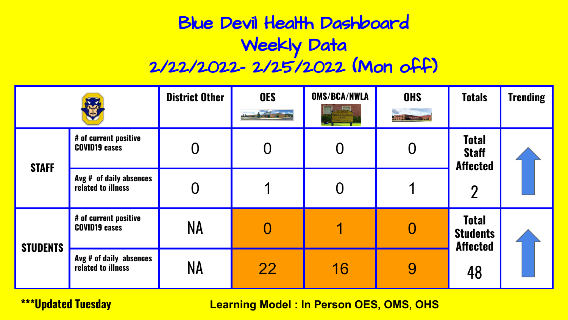# Blue Devil Health Dashboard Weekly Data 2/22/2022- 2/25/2022 (Mon off)

|                 |                                               | <b>District Other</b> | <b>OES</b> | <b>OMS/BCA/NWLA</b> | <b>OHS</b><br><b>ATT E-MANAGEMENT</b> | <b>Totals</b>                                                     | <b>Trending</b> |
|-----------------|-----------------------------------------------|-----------------------|------------|---------------------|---------------------------------------|-------------------------------------------------------------------|-----------------|
| <b>STAFF</b>    | # of current positive<br><b>COVID19 cases</b> |                       |            |                     |                                       | <b>Total</b><br><b>Staff</b><br><b>Affected</b><br>$\overline{2}$ |                 |
|                 | Avg # of daily absences<br>related to illness |                       |            |                     |                                       |                                                                   |                 |
| <b>STUDENTS</b> | # of current positive<br><b>COVID19 cases</b> | <b>NA</b>             |            |                     |                                       | <b>Total</b><br><b>Students</b><br><b>Affected</b><br>48          |                 |
|                 | Avg # of daily absences<br>related to illness | <b>NA</b>             | <b>22</b>  | 16                  | 9                                     |                                                                   |                 |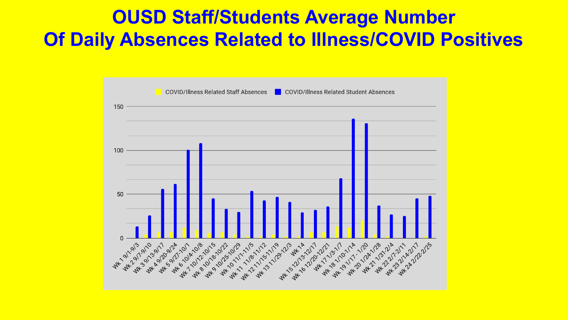#### **OUSD Staff/Students Average Number Of Daily Absences Related to Illness/COVID Positives**

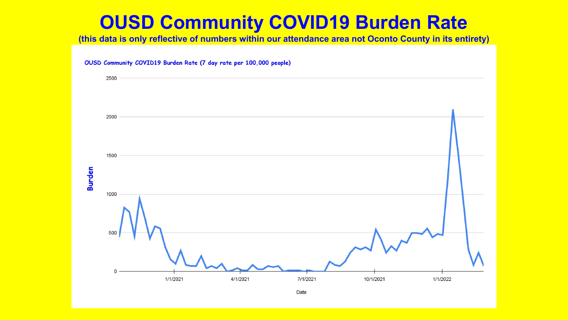# **OUSD Community COVID19 Burden Rate**

**(this data is only reflective of numbers within our attendance area not Oconto County in its entirety)**